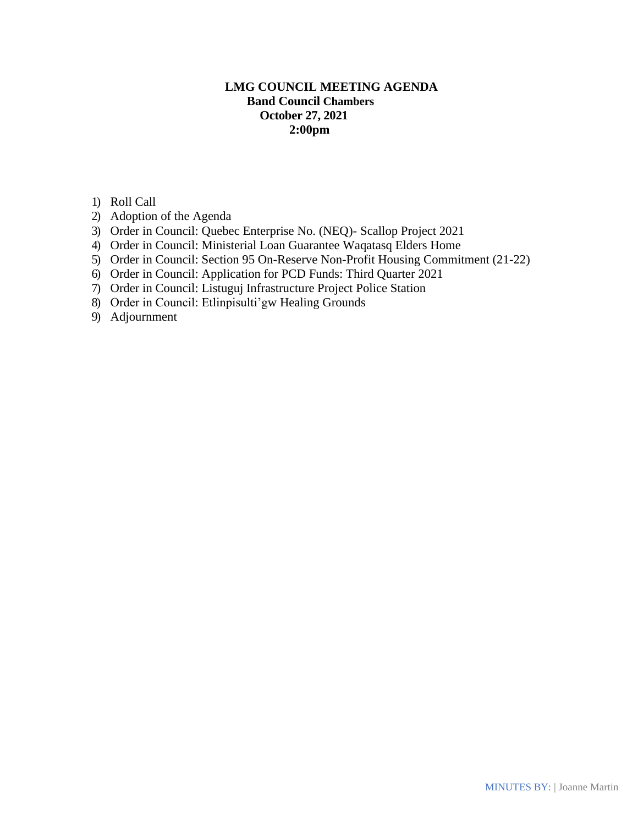# **LMG COUNCIL MEETING AGENDA Band Council Chambers October 27, 2021 2:00pm**

- 1) Roll Call
- 2) Adoption of the Agenda
- 3) Order in Council: Quebec Enterprise No. (NEQ)- Scallop Project 2021
- 4) Order in Council: Ministerial Loan Guarantee Waqatasq Elders Home
- 5) Order in Council: Section 95 On-Reserve Non-Profit Housing Commitment (21-22)
- 6) Order in Council: Application for PCD Funds: Third Quarter 2021
- 7) Order in Council: Listuguj Infrastructure Project Police Station
- 8) Order in Council: Etlinpisulti'gw Healing Grounds
- 9) Adjournment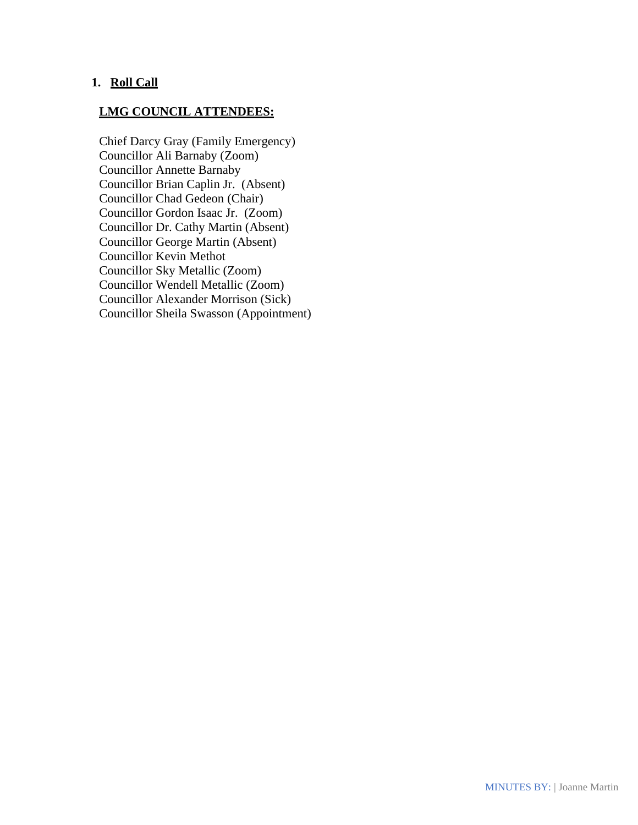## **1. Roll Call**

#### **LMG COUNCIL ATTENDEES:**

Chief Darcy Gray (Family Emergency) Councillor Ali Barnaby (Zoom) Councillor Annette Barnaby Councillor Brian Caplin Jr. (Absent) Councillor Chad Gedeon (Chair) Councillor Gordon Isaac Jr. (Zoom) Councillor Dr. Cathy Martin (Absent) Councillor George Martin (Absent) Councillor Kevin Methot Councillor Sky Metallic (Zoom) Councillor Wendell Metallic (Zoom) Councillor Alexander Morrison (Sick) Councillor Sheila Swasson (Appointment)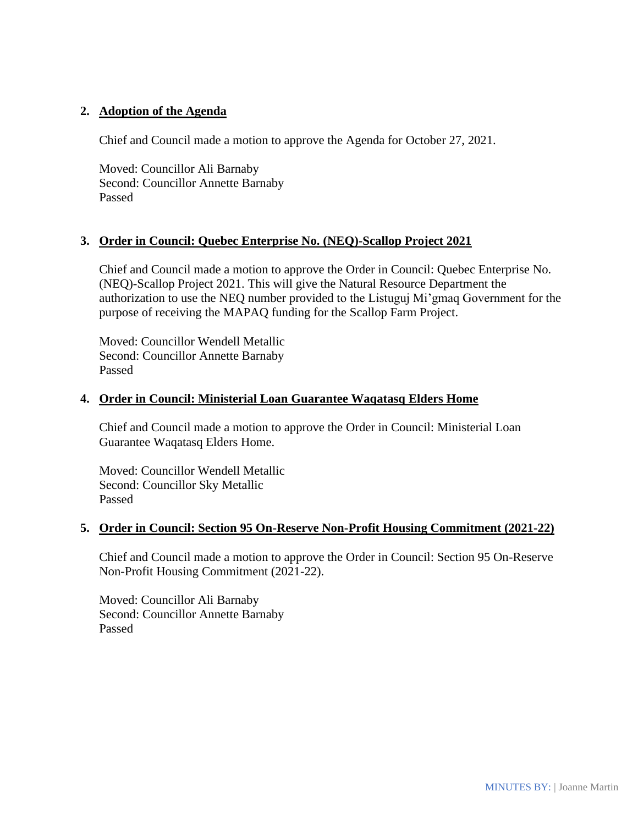## **2. Adoption of the Agenda**

Chief and Council made a motion to approve the Agenda for October 27, 2021.

Moved: Councillor Ali Barnaby Second: Councillor Annette Barnaby Passed

## **3. Order in Council: Quebec Enterprise No. (NEQ)-Scallop Project 2021**

Chief and Council made a motion to approve the Order in Council: Quebec Enterprise No. (NEQ)-Scallop Project 2021. This will give the Natural Resource Department the authorization to use the NEQ number provided to the Listuguj Mi'gmaq Government for the purpose of receiving the MAPAQ funding for the Scallop Farm Project.

Moved: Councillor Wendell Metallic Second: Councillor Annette Barnaby Passed

### **4. Order in Council: Ministerial Loan Guarantee Waqatasq Elders Home**

Chief and Council made a motion to approve the Order in Council: Ministerial Loan Guarantee Waqatasq Elders Home.

Moved: Councillor Wendell Metallic Second: Councillor Sky Metallic Passed

### **5. Order in Council: Section 95 On-Reserve Non-Profit Housing Commitment (2021-22)**

Chief and Council made a motion to approve the Order in Council: Section 95 On-Reserve Non-Profit Housing Commitment (2021-22).

Moved: Councillor Ali Barnaby Second: Councillor Annette Barnaby Passed